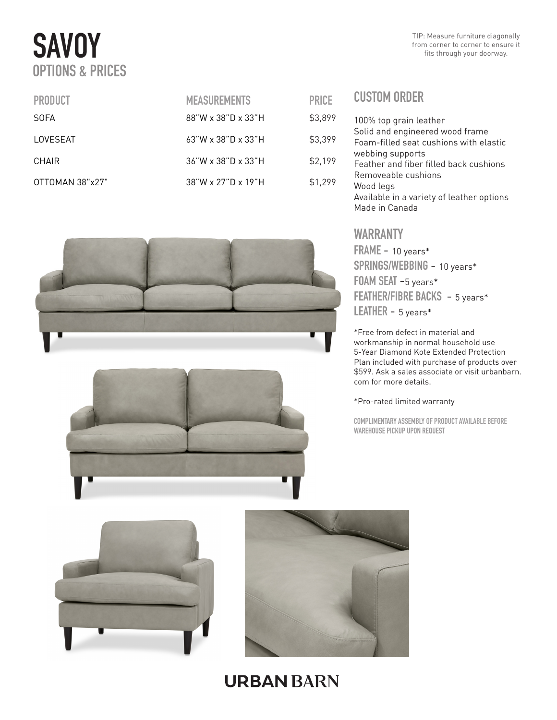# **SAVOY** OPTIONS & PRICES

| <b>PRODUCT</b>  | <b>MEASUREMENTS</b>         | <b>PRICE</b> |
|-----------------|-----------------------------|--------------|
| SOFA            | 88"W x 38"D x 33"H          | \$3,899      |
| LOVESEAT        | $63$ "W x 38"D x 33"H       | \$3,399      |
| CHAIR           | $36$ "W x $38$ "D x $33$ "H | \$2,199      |
| OTTOMAN 38"x27" | 38"W x 27"D x 19"H          | \$1,299      |





### CUSTOM ORDER 100% top grain leather Solid and engineered wood frame Foam-filled seat cushions with elastic webbing supports Feather and fiber filled back cushions Removeable cushions Wood legs

Available in a variety of leather options Made in Canada

TIP: Measure furniture diagonally

### WARRANTY

FRAME - 10 years\* SPRINGS/WEBBING - 10 years\* FOAM SEAT -5 years\* FEATHER/FIBRE BACKS - 5 years\* LEATHER - 5 years\*

\*Free from defect in material and workmanship in normal household use 5-Year Diamond Kote Extended Protection Plan included with purchase of products over \$599. Ask a sales associate or visit urbanbarn. com for more details.

#### \*Pro-rated limited warranty

COMPLIMENTARY ASSEMBLY OF PRODUCT AVAILABLE BEFORE WAREHOUSE PICKUP UPON REQUEST





## **URBAN BARN**